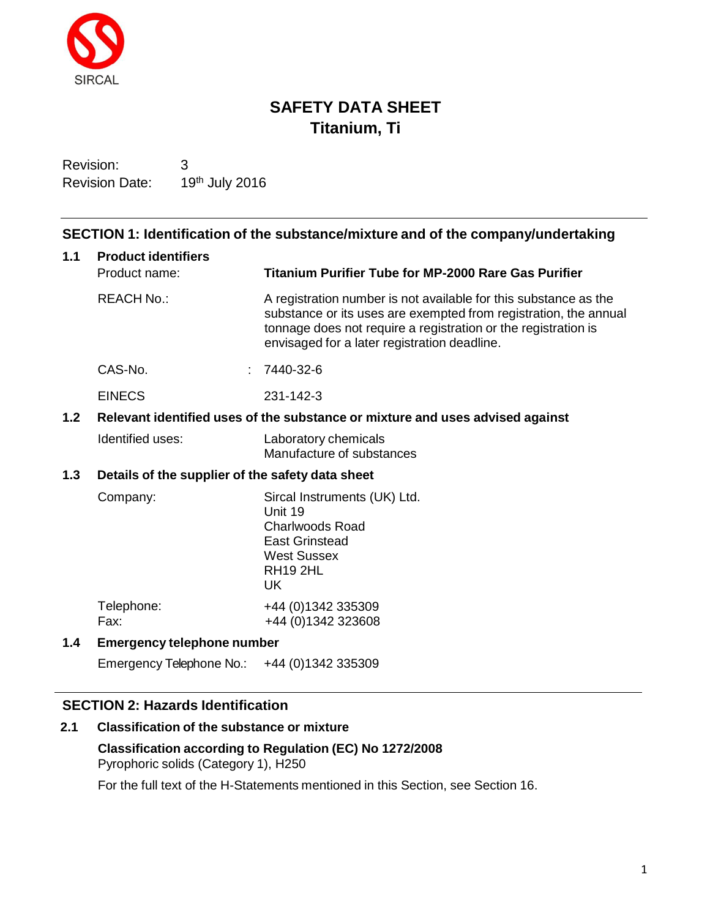

# **SAFETY DATA SHEET Titanium, Ti**

Revision: 3 Revision Date: 19th July 2016

## **SECTION 1: Identification of the substance/mixture and of the company/undertaking**

| 1.1 | <b>Product identifiers</b>                                                    |                                                                                                                                                                                                                                                        |  |  |
|-----|-------------------------------------------------------------------------------|--------------------------------------------------------------------------------------------------------------------------------------------------------------------------------------------------------------------------------------------------------|--|--|
|     | Product name:                                                                 | <b>Titanium Purifier Tube for MP-2000 Rare Gas Purifier</b>                                                                                                                                                                                            |  |  |
|     | <b>REACH No.:</b>                                                             | A registration number is not available for this substance as the<br>substance or its uses are exempted from registration, the annual<br>tonnage does not require a registration or the registration is<br>envisaged for a later registration deadline. |  |  |
|     | CAS-No.                                                                       | 7440-32-6                                                                                                                                                                                                                                              |  |  |
|     | <b>EINECS</b>                                                                 | 231-142-3                                                                                                                                                                                                                                              |  |  |
| 1.2 | Relevant identified uses of the substance or mixture and uses advised against |                                                                                                                                                                                                                                                        |  |  |
|     | Identified uses:                                                              | Laboratory chemicals<br>Manufacture of substances                                                                                                                                                                                                      |  |  |
| 1.3 | Details of the supplier of the safety data sheet                              |                                                                                                                                                                                                                                                        |  |  |
|     | Company:                                                                      | Sircal Instruments (UK) Ltd.<br>Unit 19<br><b>Charlwoods Road</b><br><b>East Grinstead</b><br><b>West Sussex</b><br><b>RH19 2HL</b><br><b>UK</b>                                                                                                       |  |  |
|     | Telephone:<br>Fax:                                                            | +44 (0)1342 335309<br>+44 (0) 1342 323608                                                                                                                                                                                                              |  |  |
| 1.4 | <b>Emergency telephone number</b>                                             |                                                                                                                                                                                                                                                        |  |  |
|     | Emergency Telephone No.:                                                      | +44 (0) 1342 335309                                                                                                                                                                                                                                    |  |  |

## **SECTION 2: Hazards Identification**

## **2.1 Classification of the substance or mixture**

**Classification according to Regulation (EC) No 1272/2008** Pyrophoric solids (Category 1), H250

For the full text of the H-Statements mentioned in this Section, see Section 16.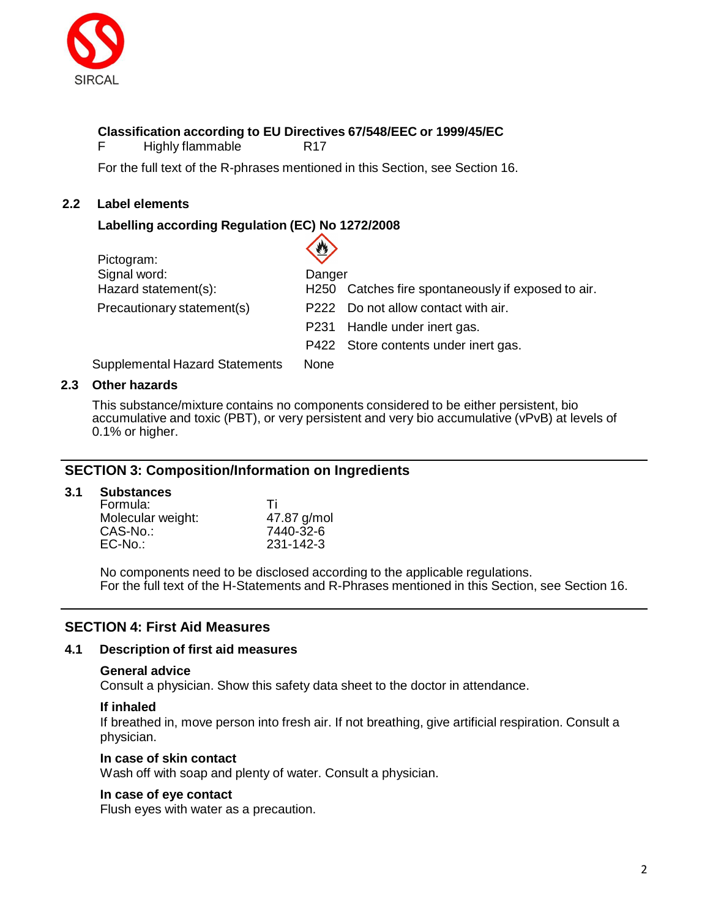

## **Classification according to EU Directives 67/548/EEC or 1999/45/EC**

F Highly flammable R17

For the full text of the R-phrases mentioned in this Section, see Section 16.

 $\curvearrowright$ 

## **2.2 Label elements**

## **Labelling according Regulation (EC) No 1272/2008**

|                                 | $\langle 2 \rangle$ |                                                    |
|---------------------------------|---------------------|----------------------------------------------------|
| Pictogram:                      |                     |                                                    |
| Signal word:                    | Danger              |                                                    |
| Hazard statement(s):            |                     | H250 Catches fire spontaneously if exposed to air. |
| Precautionary statement(s)      |                     | P222 Do not allow contact with air.                |
|                                 |                     | P231 Handle under inert gas.                       |
|                                 |                     | P422 Store contents under inert gas.               |
| Supplemental Hereral Ctatements | $N = 2$             |                                                    |

Supplemental Hazard Statements None

## **2.3 Other hazards**

This substance/mixture contains no components considered to be either persistent, bio accumulative and toxic (PBT), or very persistent and very bio accumulative (vPvB) at levels of 0.1% or higher.

## **SECTION 3: Composition/Information on Ingredients**

### **3.1 Substances**

| Formula:          | Τi          |
|-------------------|-------------|
| Molecular weight: | 47.87 g/mol |
| CAS-No.:          | 7440-32-6   |
| $EC-No$ .:        | 231-142-3   |

No components need to be disclosed according to the applicable regulations. For the full text of the H-Statements and R-Phrases mentioned in this Section, see Section 16.

## **SECTION 4: First Aid Measures**

### **4.1 Description of first aid measures**

### **General advice**

Consult a physician. Show this safety data sheet to the doctor in attendance.

### **If inhaled**

If breathed in, move person into fresh air. If not breathing, give artificial respiration. Consult a physician.

### **In case of skin contact**

Wash off with soap and plenty of water. Consult a physician.

### **In case of eye contact**

Flush eyes with water as a precaution.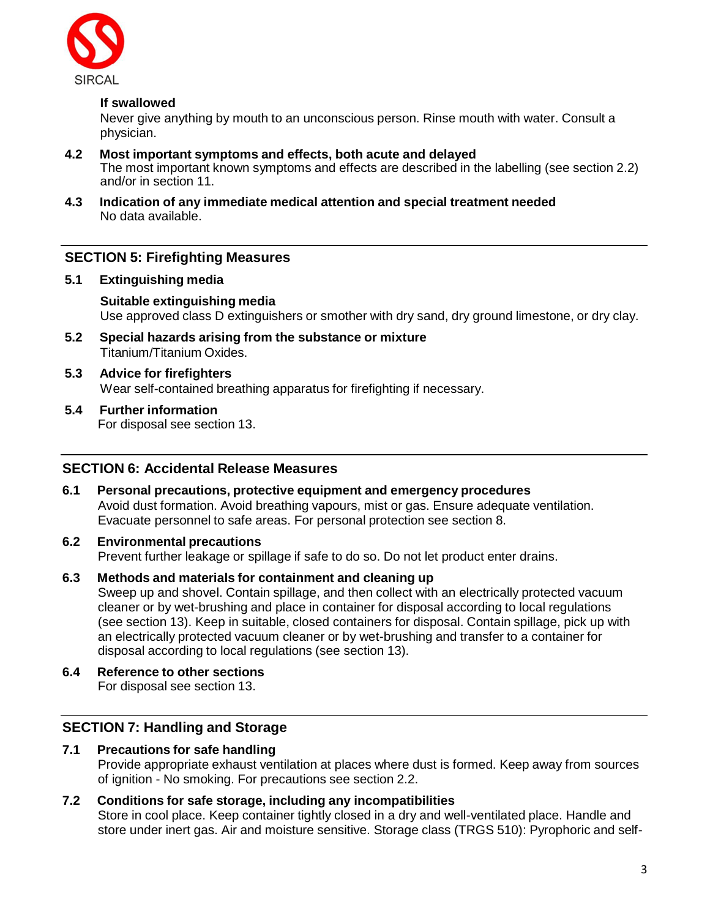

## **If swallowed**

Never give anything by mouth to an unconscious person. Rinse mouth with water. Consult a physician.

- **4.2 Most important symptoms and effects, both acute and delayed** The most important known symptoms and effects are described in the labelling (see section 2.2) and/or in section 11.
- **4.3 Indication of any immediate medical attention and special treatment needed** No data available.

## **SECTION 5: Firefighting Measures**

**5.1 Extinguishing media**

## **Suitable extinguishing media** Use approved class D extinguishers or smother with dry sand, dry ground limestone, or dry clay.

- **5.2 Special hazards arising from the substance or mixture** Titanium/Titanium Oxides.
- **5.3 Advice for firefighters** Wear self-contained breathing apparatus for firefighting if necessary.
- **5.4 Further information**

For disposal see section 13.

## **SECTION 6: Accidental Release Measures**

**6.1 Personal precautions, protective equipment and emergency procedures** Avoid dust formation. Avoid breathing vapours, mist or gas. Ensure adequate ventilation. Evacuate personnel to safe areas. For personal protection see section 8.

## **6.2 Environmental precautions**

Prevent further leakage or spillage if safe to do so. Do not let product enter drains.

**6.3 Methods and materials for containment and cleaning up**

Sweep up and shovel. Contain spillage, and then collect with an electrically protected vacuum cleaner or by wet-brushing and place in container for disposal according to local regulations (see section 13). Keep in suitable, closed containers for disposal. Contain spillage, pick up with an electrically protected vacuum cleaner or by wet-brushing and transfer to a container for disposal according to local regulations (see section 13).

**6.4 Reference to other sections** For disposal see section 13.

## **SECTION 7: Handling and Storage**

**7.1 Precautions for safe handling** Provide appropriate exhaust ventilation at places where dust is formed. Keep away from sources of ignition - No smoking. For precautions see section 2.2.

# **7.2 Conditions for safe storage, including any incompatibilities**

Store in cool place. Keep container tightly closed in a dry and well-ventilated place. Handle and store under inert gas. Air and moisture sensitive. Storage class (TRGS 510): Pyrophoric and self-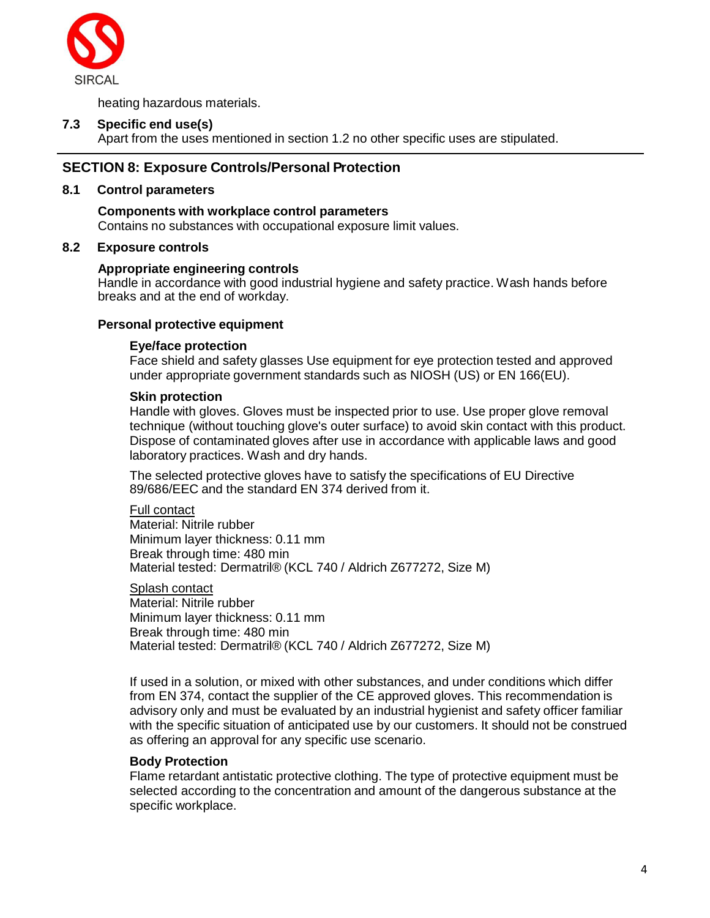

heating hazardous materials.

## **7.3 Specific end use(s)**

Apart from the uses mentioned in section 1.2 no other specific uses are stipulated.

## **SECTION 8: Exposure Controls/Personal Protection**

### **8.1 Control parameters**

## **Components with workplace control parameters**

Contains no substances with occupational exposure limit values.

## **8.2 Exposure controls**

## **Appropriate engineering controls**

Handle in accordance with good industrial hygiene and safety practice. Wash hands before breaks and at the end of workday.

## **Personal protective equipment**

## **Eye/face protection**

Face shield and safety glasses Use equipment for eye protection tested and approved under appropriate government standards such as NIOSH (US) or EN 166(EU).

## **Skin protection**

Handle with gloves. Gloves must be inspected prior to use. Use proper glove removal technique (without touching glove's outer surface) to avoid skin contact with this product. Dispose of contaminated gloves after use in accordance with applicable laws and good laboratory practices. Wash and dry hands.

The selected protective gloves have to satisfy the specifications of EU Directive 89/686/EEC and the standard EN 374 derived from it.

#### Full contact

Material: Nitrile rubber Minimum layer thickness: 0.11 mm Break through time: 480 min Material tested: Dermatril® (KCL 740 / Aldrich Z677272, Size M)

Splash contact Material: Nitrile rubber Minimum layer thickness: 0.11 mm Break through time: 480 min Material tested: Dermatril® (KCL 740 / Aldrich Z677272, Size M)

If used in a solution, or mixed with other substances, and under conditions which differ from EN 374, contact the supplier of the CE approved gloves. This recommendation is advisory only and must be evaluated by an industrial hygienist and safety officer familiar with the specific situation of anticipated use by our customers. It should not be construed as offering an approval for any specific use scenario.

## **Body Protection**

Flame retardant antistatic protective clothing. The type of protective equipment must be selected according to the concentration and amount of the dangerous substance at the specific workplace.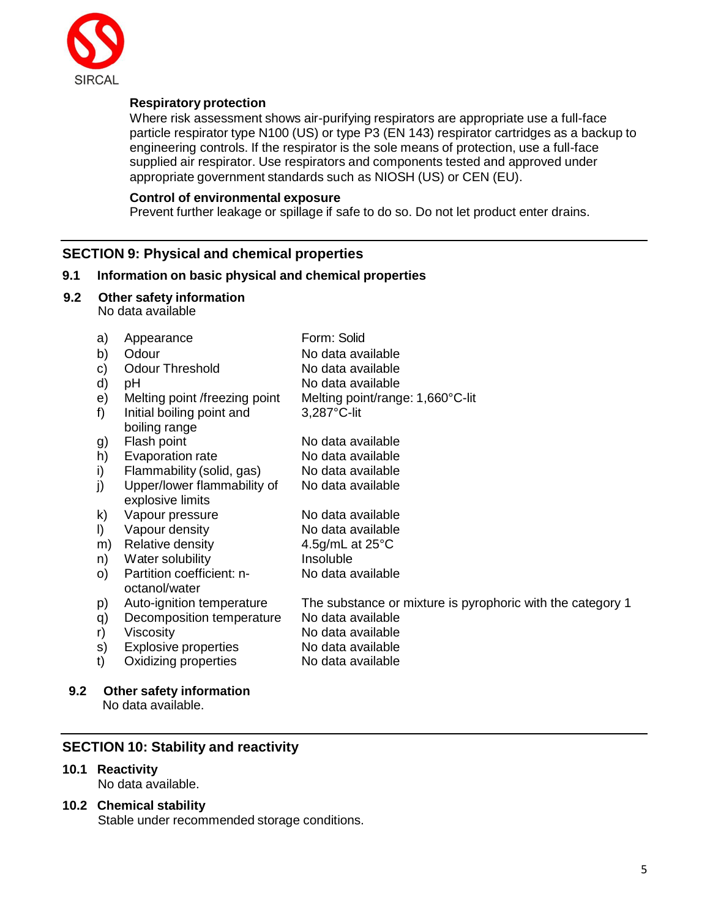

## **Respiratory protection**

Where risk assessment shows air-purifying respirators are appropriate use a full-face particle respirator type N100 (US) or type P3 (EN 143) respirator cartridges as a backup to engineering controls. If the respirator is the sole means of protection, use a full-face supplied air respirator. Use respirators and components tested and approved under appropriate government standards such as NIOSH (US) or CEN (EU).

### **Control of environmental exposure**

Prevent further leakage or spillage if safe to do so. Do not let product enter drains.

## **SECTION 9: Physical and chemical properties**

## **9.1 Information on basic physical and chemical properties**

**9.2 Other safety information**

No data available

| a)      | Appearance                    | Form: Solid                                                |
|---------|-------------------------------|------------------------------------------------------------|
| b)      | Odour                         | No data available                                          |
| C)      | <b>Odour Threshold</b>        | No data available                                          |
| d)      | рH                            | No data available                                          |
| e)      | Melting point /freezing point | Melting point/range: 1,660°C-lit                           |
| f       | Initial boiling point and     | $3,287^{\circ}$ C-lit                                      |
|         | boiling range                 |                                                            |
| g)      | Flash point                   | No data available                                          |
| h)      | Evaporation rate              | No data available                                          |
| i)      | Flammability (solid, gas)     | No data available                                          |
| j)      | Upper/lower flammability of   | No data available                                          |
|         | explosive limits              |                                                            |
| k)      | Vapour pressure               | No data available                                          |
| $\vert$ | Vapour density                | No data available                                          |
| m)      | Relative density              | 4.5g/mL at $25^{\circ}$ C                                  |
| n)      | Water solubility              | Insoluble                                                  |
| O)      | Partition coefficient: n-     | No data available                                          |
|         | octanol/water                 |                                                            |
| p)      | Auto-ignition temperature     | The substance or mixture is pyrophoric with the category 1 |
| q)      | Decomposition temperature     | No data available                                          |
| r)      | Viscosity                     | No data available                                          |
| s)      | Explosive properties          | No data available                                          |
| t)      | Oxidizing properties          | No data available                                          |
|         |                               |                                                            |

## **9.2 Other safety information**

No data available.

## **SECTION 10: Stability and reactivity**

## **10.1 Reactivity**

No data available.

## **10.2 Chemical stability**

Stable under recommended storage conditions.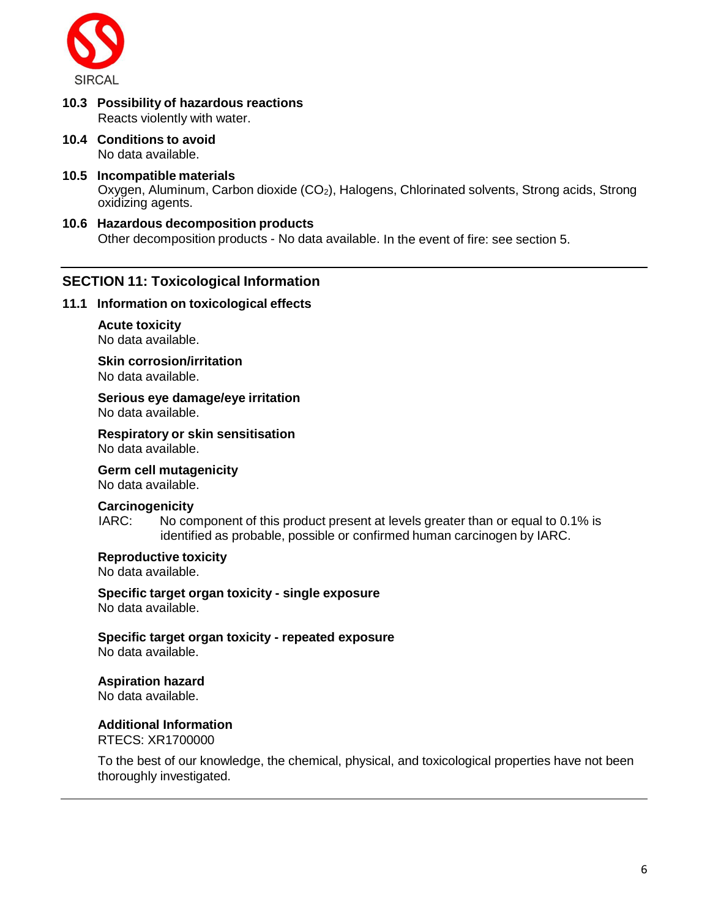

- **10.3 Possibility of hazardous reactions** Reacts violently with water.
- **10.4 Conditions to avoid** No data available.
- **10.5 Incompatible materials** Oxygen, Aluminum, Carbon dioxide (CO<sub>2</sub>), Halogens, Chlorinated solvents, Strong acids, Strong oxidizing agents.
- **10.6 Hazardous decomposition products**

Other decomposition products - No data available. In the event of fire: see section 5.

## **SECTION 11: Toxicological Information**

#### **11.1 Information on toxicological effects**

**Acute toxicity** No data available.

**Skin corrosion/irritation** No data available.

**Serious eye damage/eye irritation** No data available.

**Respiratory or skin sensitisation** No data available.

**Germ cell mutagenicity**

No data available.

### **Carcinogenicity**

IARC: No component of this product present at levels greater than or equal to 0.1% is identified as probable, possible or confirmed human carcinogen by IARC.

**Reproductive toxicity**

No data available.

**Specific target organ toxicity - single exposure** No data available.

**Specific target organ toxicity - repeated exposure** No data available.

**Aspiration hazard**

No data available.

**Additional Information** RTECS: XR1700000

To the best of our knowledge, the chemical, physical, and toxicological properties have not been thoroughly investigated.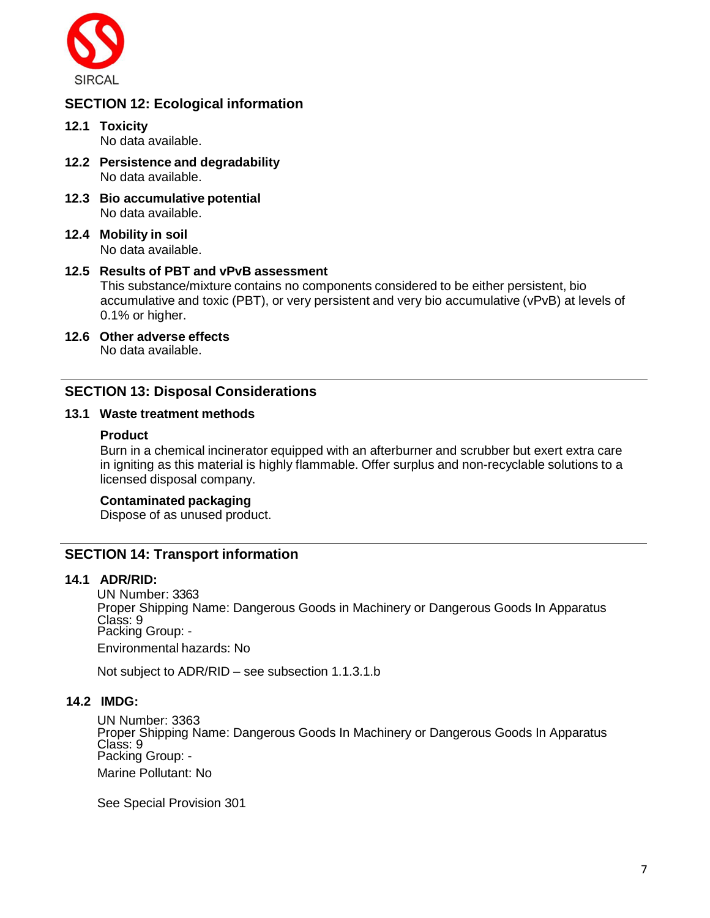

## **SECTION 12: Ecological information**

- **12.1 Toxicity** No data available.
- **12.2 Persistence and degradability** No data available.
- **12.3 Bio accumulative potential** No data available.
- **12.4 Mobility in soil** No data available.

### **12.5 Results of PBT and vPvB assessment**

This substance/mixture contains no components considered to be either persistent, bio accumulative and toxic (PBT), or very persistent and very bio accumulative (vPvB) at levels of 0.1% or higher.

**12.6 Other adverse effects** No data available.

## **SECTION 13: Disposal Considerations**

### **13.1 Waste treatment methods**

### **Product**

Burn in a chemical incinerator equipped with an afterburner and scrubber but exert extra care in igniting as this material is highly flammable. Offer surplus and non-recyclable solutions to a licensed disposal company.

### **Contaminated packaging**

Dispose of as unused product.

## **SECTION 14: Transport information**

### **14.1 ADR/RID:**

UN Number: 3363 Proper Shipping Name: Dangerous Goods in Machinery or Dangerous Goods In Apparatus Class: 9 Packing Group: - Environmental hazards: No

Not subject to ADR/RID – see subsection 1.1.3.1.b

### **14.2 IMDG:**

UN Number: 3363 Proper Shipping Name: Dangerous Goods In Machinery or Dangerous Goods In Apparatus Class: 9 Packing Group: - Marine Pollutant: No

See Special Provision 301